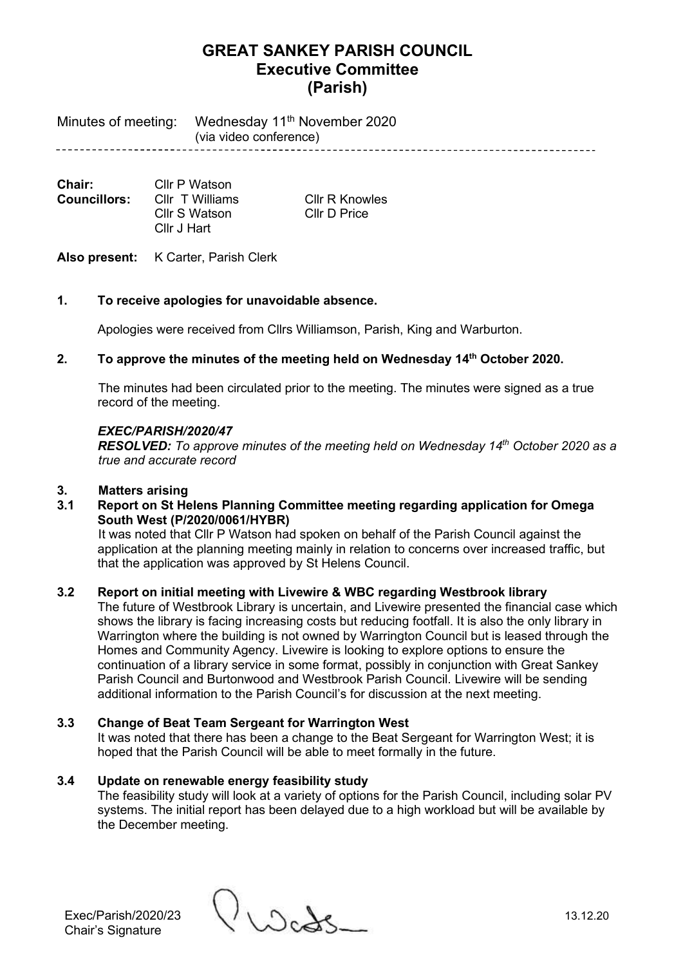Minutes of meeting: Wednesday 11<sup>th</sup> November 2020 (via video conference) 

**Chair:** Cllr P Watson<br>**Councillors:** Cllr T Williams **Councillors:** Cllr T Williams Cllr R Knowles Cllr S Watson Cllr D Price Cllr J Hart

# Also present: K Carter, Parish Clerk

## **1. To receive apologies for unavoidable absence.**

Apologies were received from Cllrs Williamson, Parish, King and Warburton.

## **2. To approve the minutes of the meeting held on Wednesday 14th October 2020.**

The minutes had been circulated prior to the meeting. The minutes were signed as a true record of the meeting.

#### *EXEC/PARISH/2020/47*

*RESOLVED: To approve minutes of the meeting held on Wednesday 14th October 2020 as a true and accurate record*

#### **3. Matters arising**

**3.1 Report on St Helens Planning Committee meeting regarding application for Omega South West (P/2020/0061/HYBR)**

It was noted that Cllr P Watson had spoken on behalf of the Parish Council against the application at the planning meeting mainly in relation to concerns over increased traffic, but that the application was approved by St Helens Council.

### **3.2 Report on initial meeting with Livewire & WBC regarding Westbrook library**

The future of Westbrook Library is uncertain, and Livewire presented the financial case which shows the library is facing increasing costs but reducing footfall. It is also the only library in Warrington where the building is not owned by Warrington Council but is leased through the Homes and Community Agency. Livewire is looking to explore options to ensure the continuation of a library service in some format, possibly in conjunction with Great Sankey Parish Council and Burtonwood and Westbrook Parish Council. Livewire will be sending additional information to the Parish Council's for discussion at the next meeting.

## **3.3 Change of Beat Team Sergeant for Warrington West**

It was noted that there has been a change to the Beat Sergeant for Warrington West; it is hoped that the Parish Council will be able to meet formally in the future.

### **3.4 Update on renewable energy feasibility study**

The feasibility study will look at a variety of options for the Parish Council, including solar PV systems. The initial report has been delayed due to a high workload but will be available by the December meeting.

Exec/Parish/2020/23 13.12.20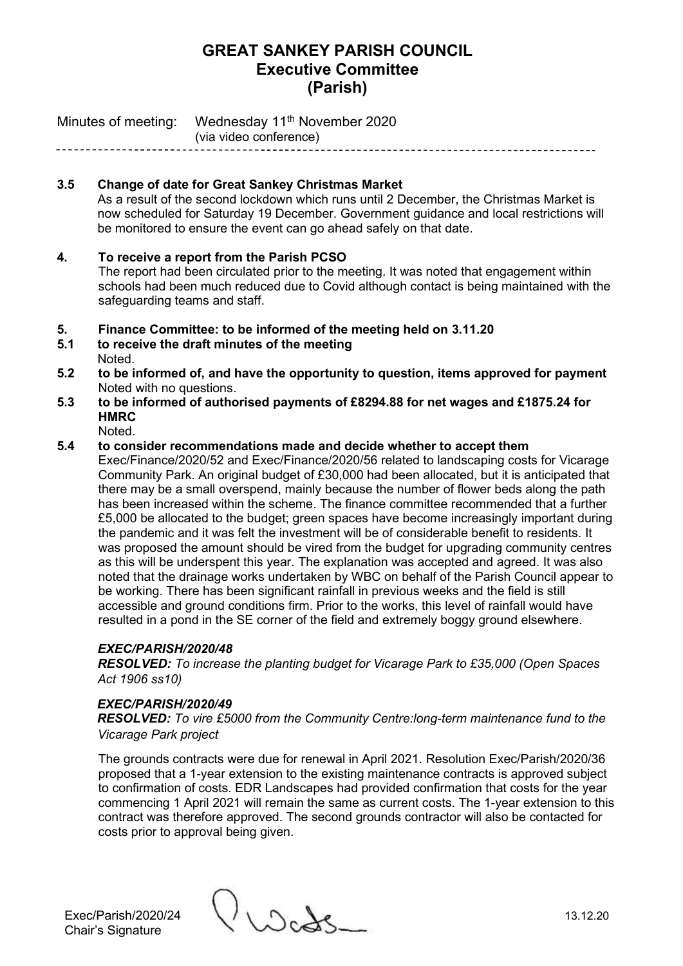Minutes of meeting: Wednesday 11<sup>th</sup> November 2020 (via video conference)

# **3.5 Change of date for Great Sankey Christmas Market**

As a result of the second lockdown which runs until 2 December, the Christmas Market is now scheduled for Saturday 19 December. Government guidance and local restrictions will be monitored to ensure the event can go ahead safely on that date.

## **4. To receive a report from the Parish PCSO**

The report had been circulated prior to the meeting. It was noted that engagement within schools had been much reduced due to Covid although contact is being maintained with the safeguarding teams and staff.

- **5. Finance Committee: to be informed of the meeting held on 3.11.20**
- **5.1 to receive the draft minutes of the meeting** Noted.
- **5.2 to be informed of, and have the opportunity to question, items approved for payment** Noted with no questions.
- **5.3 to be informed of authorised payments of £8294.88 for net wages and £1875.24 for HMRC**

Noted.

### **5.4 to consider recommendations made and decide whether to accept them**

Exec/Finance/2020/52 and Exec/Finance/2020/56 related to landscaping costs for Vicarage Community Park. An original budget of £30,000 had been allocated, but it is anticipated that there may be a small overspend, mainly because the number of flower beds along the path has been increased within the scheme. The finance committee recommended that a further £5,000 be allocated to the budget; green spaces have become increasingly important during the pandemic and it was felt the investment will be of considerable benefit to residents. It was proposed the amount should be vired from the budget for upgrading community centres as this will be underspent this year. The explanation was accepted and agreed. It was also noted that the drainage works undertaken by WBC on behalf of the Parish Council appear to be working. There has been significant rainfall in previous weeks and the field is still accessible and ground conditions firm. Prior to the works, this level of rainfall would have resulted in a pond in the SE corner of the field and extremely boggy ground elsewhere.

### *EXEC/PARISH/2020/48*

*RESOLVED: To increase the planting budget for Vicarage Park to £35,000 (Open Spaces Act 1906 ss10)*

### *EXEC/PARISH/2020/49*

*RESOLVED: To vire £5000 from the Community Centre:long-term maintenance fund to the Vicarage Park project*

The grounds contracts were due for renewal in April 2021. Resolution Exec/Parish/2020/36 proposed that a 1-year extension to the existing maintenance contracts is approved subject to confirmation of costs. EDR Landscapes had provided confirmation that costs for the year commencing 1 April 2021 will remain the same as current costs. The 1-year extension to this contract was therefore approved. The second grounds contractor will also be contacted for costs prior to approval being given.

Exec/Parish/2020/24 13.12.20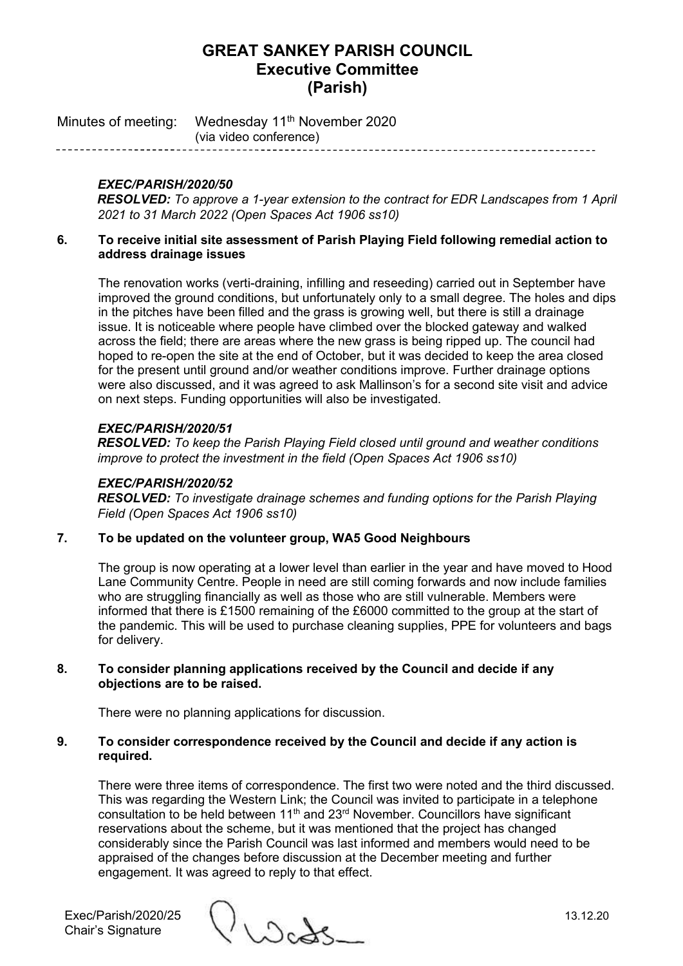Minutes of meeting: Wednesday 11<sup>th</sup> November 2020 (via video conference)

## *EXEC/PARISH/2020/50*

*RESOLVED: To approve a 1-year extension to the contract for EDR Landscapes from 1 April 2021 to 31 March 2022 (Open Spaces Act 1906 ss10)*

#### **6. To receive initial site assessment of Parish Playing Field following remedial action to address drainage issues**

The renovation works (verti-draining, infilling and reseeding) carried out in September have improved the ground conditions, but unfortunately only to a small degree. The holes and dips in the pitches have been filled and the grass is growing well, but there is still a drainage issue. It is noticeable where people have climbed over the blocked gateway and walked across the field; there are areas where the new grass is being ripped up. The council had hoped to re-open the site at the end of October, but it was decided to keep the area closed for the present until ground and/or weather conditions improve. Further drainage options were also discussed, and it was agreed to ask Mallinson's for a second site visit and advice on next steps. Funding opportunities will also be investigated.

### *EXEC/PARISH/2020/51*

*RESOLVED: To keep the Parish Playing Field closed until ground and weather conditions improve to protect the investment in the field (Open Spaces Act 1906 ss10)*

#### *EXEC/PARISH/2020/52*

*RESOLVED: To investigate drainage schemes and funding options for the Parish Playing Field (Open Spaces Act 1906 ss10)*

### **7. To be updated on the volunteer group, WA5 Good Neighbours**

The group is now operating at a lower level than earlier in the year and have moved to Hood Lane Community Centre. People in need are still coming forwards and now include families who are struggling financially as well as those who are still vulnerable. Members were informed that there is £1500 remaining of the £6000 committed to the group at the start of the pandemic. This will be used to purchase cleaning supplies, PPE for volunteers and bags for delivery.

#### **8. To consider planning applications received by the Council and decide if any objections are to be raised.**

There were no planning applications for discussion.

#### **9. To consider correspondence received by the Council and decide if any action is required.**

There were three items of correspondence. The first two were noted and the third discussed. This was regarding the Western Link; the Council was invited to participate in a telephone consultation to be held between 11th and 23rd November. Councillors have significant reservations about the scheme, but it was mentioned that the project has changed considerably since the Parish Council was last informed and members would need to be appraised of the changes before discussion at the December meeting and further engagement. It was agreed to reply to that effect.

Exec/Parish/2020/25 ()<br>Chair's Signature 13.12.20